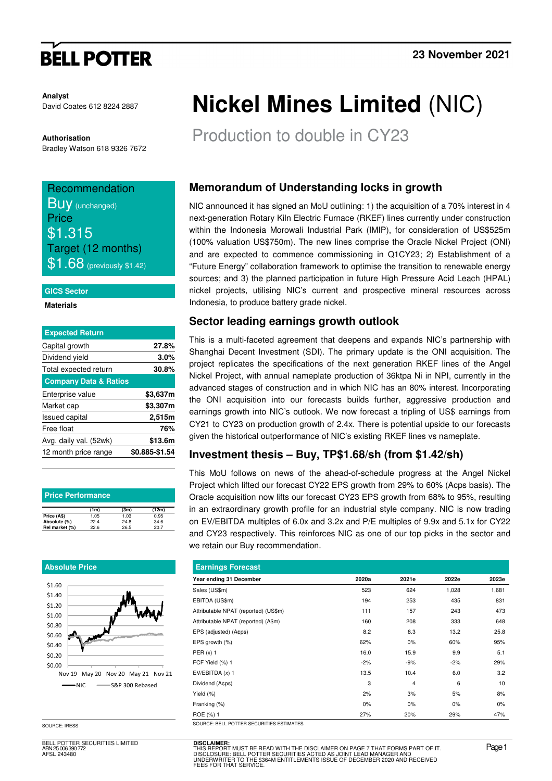# **BELL POTTER**

**Analyst** David Coates 612 8224 2887

#### **Authorisation**

Bradley Watson 618 9326 7672

## Recommendation **BUV** (unchanged) **Price** \$1.315 Target (12 months)  $$1.68$  (previously \$1.42)

#### **GICS Sector**

#### **Materials**

| <b>Expected Return</b>           |                |
|----------------------------------|----------------|
| Capital growth                   | 27.8%          |
| Dividend yield                   | 3.0%           |
| Total expected return            | 30.8%          |
| <b>Company Data &amp; Ratios</b> |                |
| Enterprise value                 | \$3,637m       |
| Market cap                       | \$3,307m       |
| <b>Issued capital</b>            | 2,515m         |
| Free float                       | 76%            |
| Avg. daily val. (52wk)           | \$13.6m        |
| 12 month price range             | \$0.885-\$1.54 |
|                                  |                |

| <b>Price Performance</b> |      |      |       |  |  |  |  |  |
|--------------------------|------|------|-------|--|--|--|--|--|
|                          | (1m) | (3m) | (12m) |  |  |  |  |  |
| Price (A\$)              | 1.05 | 1.03 | 0.95  |  |  |  |  |  |
| Absolute (%)             | 22.4 | 24.8 | 34.6  |  |  |  |  |  |
| Rel market (%)           | 22.6 | 26.5 | 20.7  |  |  |  |  |  |

#### **Absolute Price**



BELL POTTER SECURITIES LIMITED ABN 25 006 390 772 AFSL 243480

# **Nickel Mines Limited** (NIC)

Production to double in CY23

## **Memorandum of Understanding locks in growth**

NIC announced it has signed an MoU outlining: 1) the acquisition of a 70% interest in 4 next-generation Rotary Kiln Electric Furnace (RKEF) lines currently under construction within the Indonesia Morowali Industrial Park (IMIP), for consideration of US\$525m (100% valuation US\$750m). The new lines comprise the Oracle Nickel Project (ONI) and are expected to commence commissioning in Q1CY23; 2) Establishment of a "Future Energy" collaboration framework to optimise the transition to renewable energy sources; and 3) the planned participation in future High Pressure Acid Leach (HPAL) nickel projects, utilising NIC's current and prospective mineral resources across Indonesia, to produce battery grade nickel.

## **Sector leading earnings growth outlook**

This is a multi-faceted agreement that deepens and expands NIC's partnership with Shanghai Decent Investment (SDI). The primary update is the ONI acquisition. The project replicates the specifications of the next generation RKEF lines of the Angel Nickel Project, with annual nameplate production of 36ktpa Ni in NPI, currently in the advanced stages of construction and in which NIC has an 80% interest. Incorporating the ONI acquisition into our forecasts builds further, aggressive production and earnings growth into NIC's outlook. We now forecast a tripling of US\$ earnings from CY21 to CY23 on production growth of 2.4x. There is potential upside to our forecasts given the historical outperformance of NIC's existing RKEF lines vs nameplate.

## **Investment thesis – Buy, TP\$1.68/sh (from \$1.42/sh)**

This MoU follows on news of the ahead-of-schedule progress at the Angel Nickel Project which lifted our forecast CY22 EPS growth from 29% to 60% (Acps basis). The Oracle acquisition now lifts our forecast CY23 EPS growth from 68% to 95%, resulting in an extraordinary growth profile for an industrial style company. NIC is now trading on EV/EBITDA multiples of 6.0x and 3.2x and P/E multiples of 9.9x and 5.1x for CY22 and CY23 respectively. This reinforces NIC as one of our top picks in the sector and we retain our Buy recommendation.

| <b>Earnings Forecast</b>             |       |                |       |       |  |  |  |  |  |
|--------------------------------------|-------|----------------|-------|-------|--|--|--|--|--|
| Year ending 31 December              | 2020a | 2021e          | 2022e | 2023e |  |  |  |  |  |
| Sales (US\$m)                        | 523   | 624            | 1,028 | 1,681 |  |  |  |  |  |
| EBITDA (US\$m)                       | 194   | 253            | 435   | 831   |  |  |  |  |  |
| Attributable NPAT (reported) (US\$m) | 111   | 157            | 243   | 473   |  |  |  |  |  |
| Attributable NPAT (reported) (A\$m)  | 160   | 208            | 333   | 648   |  |  |  |  |  |
| EPS (adjusted) (A¢ps)                | 8.2   | 8.3            | 13.2  | 25.8  |  |  |  |  |  |
| EPS growth (%)                       | 62%   | $0\%$          | 60%   | 95%   |  |  |  |  |  |
| PER $(x)$ 1                          | 16.0  | 15.9           | 9.9   | 5.1   |  |  |  |  |  |
| FCF Yield (%) 1                      | $-2%$ | $-9%$          | $-2%$ | 29%   |  |  |  |  |  |
| EV/EBITDA (x) 1                      | 13.5  | 10.4           | 6.0   | 3.2   |  |  |  |  |  |
| Dividend (Acps)                      | 3     | $\overline{4}$ | 6     | 10    |  |  |  |  |  |
| Yield $(\%)$                         | 2%    | 3%             | 5%    | 8%    |  |  |  |  |  |
| Franking (%)                         | 0%    | $0\%$          | 0%    | 0%    |  |  |  |  |  |
| ROE (%) 1                            | 27%   | 20%            | 29%   | 47%   |  |  |  |  |  |

SOURCE: IRESS SOURCE: BELL POTTER SECURITI

**DISCLAIMER:** THIS REPORT MUST BE READ WITH THE DISCLAIMER ON PAGE 7 THAT FORMS PART OF IT.<br>DISCLOSURE: BELL POTTER SECURITIES ACTED AS JOINT LEAD MANAGER AND<br>UNDERWRITER TO THE \$364M ENTITLEMENTS ISSUE OF DECEMBER 2020 AND RECEIVED<br>FEE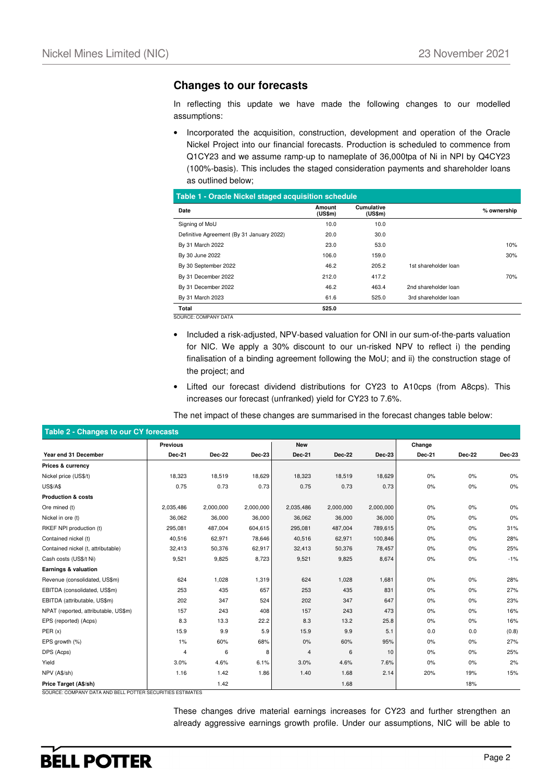### **Changes to our forecasts**

In reflecting this update we have made the following changes to our modelled assumptions:

• Incorporated the acquisition, construction, development and operation of the Oracle Nickel Project into our financial forecasts. Production is scheduled to commence from Q1CY23 and we assume ramp-up to nameplate of 36,000tpa of Ni in NPI by Q4CY23 (100%-basis). This includes the staged consideration payments and shareholder loans as outlined below;

**Table 1 - Oracle Nickel staged acquisition schedule**

| Date                                      | Amount<br>(US\$m) | <b>Cumulative</b><br>(US\$m) |                      | % ownership |
|-------------------------------------------|-------------------|------------------------------|----------------------|-------------|
| Signing of MoU                            | 10.0              | 10.0                         |                      |             |
| Definitive Agreement (By 31 January 2022) | 20.0              | 30.0                         |                      |             |
| By 31 March 2022                          | 23.0              | 53.0                         |                      | 10%         |
| By 30 June 2022                           | 106.0             | 159.0                        |                      | 30%         |
| By 30 September 2022                      | 46.2              | 205.2                        | 1st shareholder loan |             |
| By 31 December 2022                       | 212.0             | 417.2                        |                      | 70%         |
| By 31 December 2022                       | 46.2              | 463.4                        | 2nd shareholder loan |             |
| By 31 March 2023                          | 61.6              | 525.0                        | 3rd shareholder loan |             |
| <b>Total</b>                              | 525.0             |                              |                      |             |

SOURCE: COMPANY DATA

- Included a risk-adjusted, NPV-based valuation for ONI in our sum-of-the-parts valuation for NIC. We apply a 30% discount to our un-risked NPV to reflect i) the pending finalisation of a binding agreement following the MoU; and ii) the construction stage of the project; and
- Lifted our forecast dividend distributions for CY23 to A10cps (from A8cps). This increases our forecast (unfranked) yield for CY23 to 7.6%.

The net impact of these changes are summarised in the forecast changes table below:

| Table 2 - Changes to our CY forecasts |               |               |           |               |               |               |               |        |        |
|---------------------------------------|---------------|---------------|-----------|---------------|---------------|---------------|---------------|--------|--------|
|                                       | Previous      |               |           | <b>New</b>    |               |               | Change        |        |        |
| Year end 31 December                  | <b>Dec-21</b> | <b>Dec-22</b> | Dec-23    | <b>Dec-21</b> | <b>Dec-22</b> | <b>Dec-23</b> | <b>Dec-21</b> | Dec-22 | Dec-23 |
| Prices & currency                     |               |               |           |               |               |               |               |        |        |
| Nickel price (US\$/t)                 | 18,323        | 18,519        | 18,629    | 18,323        | 18,519        | 18,629        | 0%            | 0%     | 0%     |
| <b>US\$/A\$</b>                       | 0.75          | 0.73          | 0.73      | 0.75          | 0.73          | 0.73          | 0%            | 0%     | $0\%$  |
| <b>Production &amp; costs</b>         |               |               |           |               |               |               |               |        |        |
| Ore mined (t)                         | 2,035,486     | 2,000,000     | 2,000,000 | 2,035,486     | 2,000,000     | 2,000,000     | 0%            | 0%     | 0%     |
| Nickel in ore (t)                     | 36,062        | 36,000        | 36,000    | 36,062        | 36,000        | 36,000        | 0%            | 0%     | 0%     |
| RKEF NPI production (t)               | 295,081       | 487,004       | 604,615   | 295,081       | 487,004       | 789,615       | 0%            | 0%     | 31%    |
| Contained nickel (t)                  | 40,516        | 62,971        | 78,646    | 40,516        | 62,971        | 100,846       | 0%            | 0%     | 28%    |
| Contained nickel (t, attributable)    | 32,413        | 50,376        | 62,917    | 32,413        | 50,376        | 78,457        | 0%            | 0%     | 25%    |
| Cash costs (US\$/t Ni)                | 9,521         | 9,825         | 8,723     | 9,521         | 9,825         | 8,674         | 0%            | 0%     | $-1%$  |
| Earnings & valuation                  |               |               |           |               |               |               |               |        |        |
| Revenue (consolidated, US\$m)         | 624           | 1,028         | 1,319     | 624           | 1,028         | 1,681         | 0%            | 0%     | 28%    |
| EBITDA (consolidated, US\$m)          | 253           | 435           | 657       | 253           | 435           | 831           | 0%            | 0%     | 27%    |
| EBITDA (attributable, US\$m)          | 202           | 347           | 524       | 202           | 347           | 647           | 0%            | 0%     | 23%    |
| NPAT (reported, attributable, US\$m)  | 157           | 243           | 408       | 157           | 243           | 473           | 0%            | 0%     | 16%    |
| EPS (reported) (Acps)                 | 8.3           | 13.3          | 22.2      | 8.3           | 13.2          | 25.8          | 0%            | 0%     | 16%    |
| PER(x)                                | 15.9          | 9.9           | 5.9       | 15.9          | 9.9           | 5.1           | 0.0           | 0.0    | (0.8)  |
| EPS growth (%)                        | 1%            | 60%           | 68%       | 0%            | 60%           | 95%           | 0%            | 0%     | 27%    |
| DPS (Acps)                            | 4             | 6             | 8         | 4             | 6             | 10            | 0%            | 0%     | 25%    |
| Yield                                 | 3.0%          | 4.6%          | 6.1%      | 3.0%          | 4.6%          | 7.6%          | 0%            | 0%     | 2%     |
| NPV (A\$/sh)                          | 1.16          | 1.42          | 1.86      | 1.40          | 1.68          | 2.14          | 20%           | 19%    | 15%    |
| Price Target (A\$/sh)                 |               | 1.42          |           |               | 1.68          |               |               | 18%    |        |

SOURCE: COMPANY DATA AND BELL POTTER SECURITIES ESTIMATES

These changes drive material earnings increases for CY23 and further strengthen an already aggressive earnings growth profile. Under our assumptions, NIC will be able to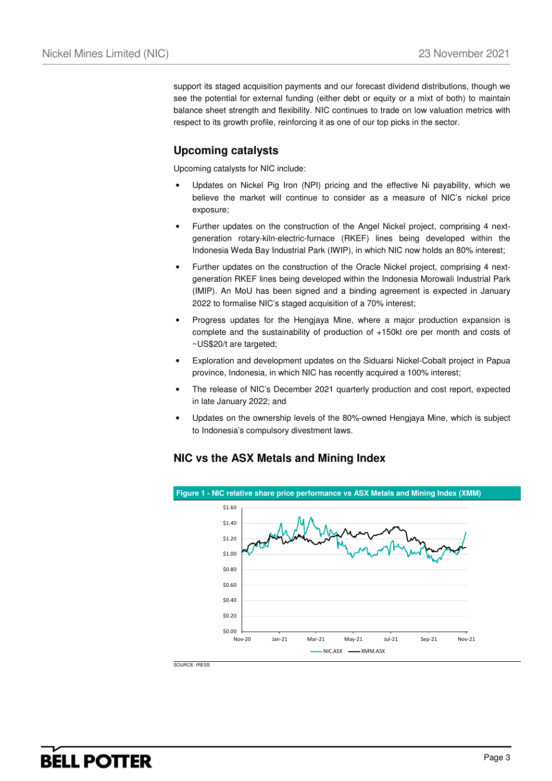support its staged acquisition payments and our forecast dividend distributions, though we see the potential for external funding (either debt or equity or a mixt of both) to maintain balance sheet strength and flexibility. NIC continues to trade on low valuation metrics with respect to its growth profile, reinforcing it as one of our top picks in the sector.

## **Upcoming catalysts**

Upcoming catalysts for NIC include:

- Updates on Nickel Pig Iron (NPI) pricing and the effective Ni payability, which we believe the market will continue to consider as a measure of NIC's nickel price exposure;
- Further updates on the construction of the Angel Nickel project, comprising 4 nextgeneration rotary-kiln-electric-furnace (RKEF) lines being developed within the Indonesia Weda Bay Industrial Park (IWIP), in which NIC now holds an 80% interest;
- Further updates on the construction of the Oracle Nickel project, comprising 4 nextgeneration RKEF lines being developed within the Indonesia Morowali Industrial Park (IMIP). An MoU has been signed and a binding agreement is expected in January 2022 to formalise NIC's staged acquisition of a 70% interest;
- Progress updates for the Hengjaya Mine, where a major production expansion is complete and the sustainability of production of +150kt ore per month and costs of ~US\$20/t are targeted;
- Exploration and development updates on the Siduarsi Nickel-Cobalt project in Papua province, Indonesia, in which NIC has recently acquired a 100% interest;
- The release of NIC's December 2021 quarterly production and cost report, expected in late January 2022; and
- Updates on the ownership levels of the 80%-owned Hengjaya Mine, which is subject to Indonesia's compulsory divestment laws.

## **NIC vs the ASX Metals and Mining Index**



SOURCE: IRESS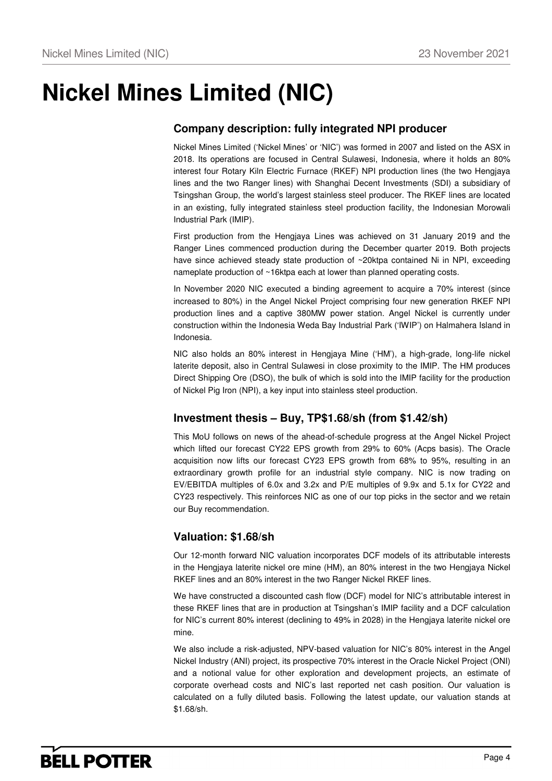# **Nickel Mines Limited (NIC)**

## **Company description: fully integrated NPI producer**

Nickel Mines Limited ('Nickel Mines' or 'NIC') was formed in 2007 and listed on the ASX in 2018. Its operations are focused in Central Sulawesi, Indonesia, where it holds an 80% interest four Rotary Kiln Electric Furnace (RKEF) NPI production lines (the two Hengjaya lines and the two Ranger lines) with Shanghai Decent Investments (SDI) a subsidiary of Tsingshan Group, the world's largest stainless steel producer. The RKEF lines are located in an existing, fully integrated stainless steel production facility, the Indonesian Morowali Industrial Park (IMIP).

First production from the Hengjaya Lines was achieved on 31 January 2019 and the Ranger Lines commenced production during the December quarter 2019. Both projects have since achieved steady state production of ~20ktpa contained Ni in NPI, exceeding nameplate production of ~16ktpa each at lower than planned operating costs.

In November 2020 NIC executed a binding agreement to acquire a 70% interest (since increased to 80%) in the Angel Nickel Project comprising four new generation RKEF NPI production lines and a captive 380MW power station. Angel Nickel is currently under construction within the Indonesia Weda Bay Industrial Park ('IWIP') on Halmahera Island in Indonesia.

NIC also holds an 80% interest in Hengjaya Mine ('HM'), a high-grade, long-life nickel laterite deposit, also in Central Sulawesi in close proximity to the IMIP. The HM produces Direct Shipping Ore (DSO), the bulk of which is sold into the IMIP facility for the production of Nickel Pig Iron (NPI), a key input into stainless steel production.

## **Investment thesis – Buy, TP\$1.68/sh (from \$1.42/sh)**

This MoU follows on news of the ahead-of-schedule progress at the Angel Nickel Project which lifted our forecast CY22 EPS growth from 29% to 60% (Acps basis). The Oracle acquisition now lifts our forecast CY23 EPS growth from 68% to 95%, resulting in an extraordinary growth profile for an industrial style company. NIC is now trading on EV/EBITDA multiples of 6.0x and 3.2x and P/E multiples of 9.9x and 5.1x for CY22 and CY23 respectively. This reinforces NIC as one of our top picks in the sector and we retain our Buy recommendation.

## **Valuation: \$1.68/sh**

Our 12-month forward NIC valuation incorporates DCF models of its attributable interests in the Hengjaya laterite nickel ore mine (HM), an 80% interest in the two Hengjaya Nickel RKEF lines and an 80% interest in the two Ranger Nickel RKEF lines.

We have constructed a discounted cash flow (DCF) model for NIC's attributable interest in these RKEF lines that are in production at Tsingshan's IMIP facility and a DCF calculation for NIC's current 80% interest (declining to 49% in 2028) in the Hengjaya laterite nickel ore mine.

We also include a risk-adjusted, NPV-based valuation for NIC's 80% interest in the Angel Nickel Industry (ANI) project, its prospective 70% interest in the Oracle Nickel Project (ONI) and a notional value for other exploration and development projects, an estimate of corporate overhead costs and NIC's last reported net cash position. Our valuation is calculated on a fully diluted basis. Following the latest update, our valuation stands at \$1.68/sh.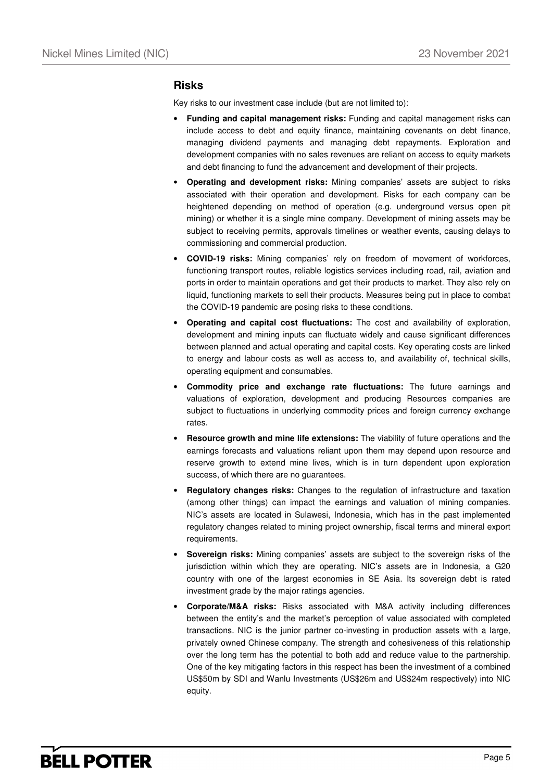#### **Risks**

Key risks to our investment case include (but are not limited to):

- **Funding and capital management risks:** Funding and capital management risks can include access to debt and equity finance, maintaining covenants on debt finance, managing dividend payments and managing debt repayments. Exploration and development companies with no sales revenues are reliant on access to equity markets and debt financing to fund the advancement and development of their projects.
- **Operating and development risks:** Mining companies' assets are subject to risks associated with their operation and development. Risks for each company can be heightened depending on method of operation (e.g. underground versus open pit mining) or whether it is a single mine company. Development of mining assets may be subject to receiving permits, approvals timelines or weather events, causing delays to commissioning and commercial production.
- **COVID-19 risks:** Mining companies' rely on freedom of movement of workforces, functioning transport routes, reliable logistics services including road, rail, aviation and ports in order to maintain operations and get their products to market. They also rely on liquid, functioning markets to sell their products. Measures being put in place to combat the COVID-19 pandemic are posing risks to these conditions.
- **Operating and capital cost fluctuations:** The cost and availability of exploration, development and mining inputs can fluctuate widely and cause significant differences between planned and actual operating and capital costs. Key operating costs are linked to energy and labour costs as well as access to, and availability of, technical skills, operating equipment and consumables.
- **Commodity price and exchange rate fluctuations:** The future earnings and valuations of exploration, development and producing Resources companies are subject to fluctuations in underlying commodity prices and foreign currency exchange rates.
- **Resource growth and mine life extensions:** The viability of future operations and the earnings forecasts and valuations reliant upon them may depend upon resource and reserve growth to extend mine lives, which is in turn dependent upon exploration success, of which there are no guarantees.
- **Regulatory changes risks:** Changes to the regulation of infrastructure and taxation (among other things) can impact the earnings and valuation of mining companies. NIC's assets are located in Sulawesi, Indonesia, which has in the past implemented regulatory changes related to mining project ownership, fiscal terms and mineral export requirements.
- **Sovereign risks:** Mining companies' assets are subject to the sovereign risks of the jurisdiction within which they are operating. NIC's assets are in Indonesia, a G20 country with one of the largest economies in SE Asia. Its sovereign debt is rated investment grade by the major ratings agencies.
- **Corporate/M&A risks:** Risks associated with M&A activity including differences between the entity's and the market's perception of value associated with completed transactions. NIC is the junior partner co-investing in production assets with a large, privately owned Chinese company. The strength and cohesiveness of this relationship over the long term has the potential to both add and reduce value to the partnership. One of the key mitigating factors in this respect has been the investment of a combined US\$50m by SDI and Wanlu Investments (US\$26m and US\$24m respectively) into NIC equity.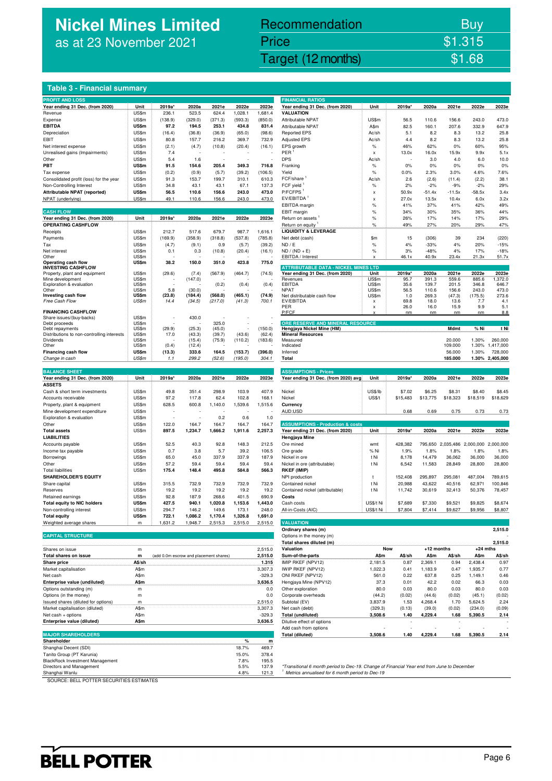## **Nickel Mines Limited** as at 23 November 2021

## Recommendation Buy Price \$1.315

Nickel Mines Limited (Nickel Mines Limited (Nickel Mines Limited Computer) \$1.68

#### **Table 3 - Financial summary**

|                                                            |                |                                        |                   |                    |                   |                 | <b>FINANCIAL RATIOS</b>                                                                    |               |             |               |                             |                |                 |
|------------------------------------------------------------|----------------|----------------------------------------|-------------------|--------------------|-------------------|-----------------|--------------------------------------------------------------------------------------------|---------------|-------------|---------------|-----------------------------|----------------|-----------------|
| <b>PROFIT AND LOSS</b><br>Year ending 31 Dec. (from 2020)  | Unit           | 2019a*                                 | 2020a             | 2021e              | 2022e             | 2023e           | Year ending 31 Dec. (from 2020)                                                            | Unit          | 2019a*      | 2020a         | 2021e                       | 2022e          | 2023e           |
| Revenue                                                    | US\$m          | 236.1                                  | 523.5             | 624.4              | 1,028.1           | 1,681.4         | <b>VALUATION</b>                                                                           |               |             |               |                             |                |                 |
| Expense                                                    | US\$m          | (138.9)                                | (329.0)           | (371.3)            | (593.3)           | (850.0)         | Attributable NPAT                                                                          | US\$m         | 56.5        | 110.6         | 156.6                       | 243.0          | 473.0           |
| <b>EBITDA</b>                                              | <b>US\$m</b>   | 97.2                                   | 194.5             | 253.1              | 434.8             | 831.4           | <b>Attributable NPAT</b>                                                                   | A\$m          | 82.5        | 160.1         | 207.6                       | 332.9          | 647.9           |
| Depreciation                                               | US\$m          | (16.4)                                 | (36.8)            | (36.9)             | (65.0)            | (98.6)          | <b>Reported EPS</b>                                                                        | Ac/sh         | 5.1         | 8.2           | 8.3                         | 13.2           | 25.8            |
| EBIT                                                       | US\$m          | 80.8                                   | 157.7             | 216.2              | 369.7             | 732.9           | <b>Adjusted EPS</b>                                                                        | Ac/sh         | 4.4         | 8.2           | 8.3                         | 13.2           | 25.8            |
| Net interest expense                                       | US\$m          | (2.1)                                  | (4.7)             | (10.8)             | (20.4)            | (16.1)          | EPS growth                                                                                 | $\%$          | 46%         | 62%           | 0%                          | 60%            | 95%             |
| Unrealised gains (Impairments)                             | US\$m          | 7.4                                    |                   |                    |                   |                 | PER                                                                                        | x             | 13.0x       | 16.0x         | 15.9x                       | 9.9x           | 5.1x            |
| Other                                                      | US\$m          | 5.4                                    | 1.6               |                    |                   |                 | <b>DPS</b>                                                                                 | Ac/sh         |             | 3.0           | 4.0                         | 6.0            | 10.0            |
| PBT                                                        | US\$m          | 91.5                                   | 154.6             | 205.4              | 349.3             | 716.8           | Franking                                                                                   | $\%$          | 0%          | $0\%$         | 0%                          | 0%             | 0%              |
| Tax expense                                                | US\$m          | (0.2)                                  | (0.9)             | (5.7)              | (39.2)            | (106.5)         | Yield                                                                                      | $\%$          | 0.0%        | 2.3%          | 3.0%                        | 4.6%           | 7.6%            |
| Consolidated profit (loss) for the year                    | US\$m          | 91.3                                   | 153.7             | 199.7              | 310.1             | 610.3           | FCF/share                                                                                  | Ac/sh         | 2.6         | (2.6)         | (11.4)                      | (2.2)          | 38.1            |
| Non-Controlling Interest                                   | US\$m          | 34.8                                   | 43.1              | 43.1               | 67.1              | 137.3           | FCF yield                                                                                  | $\%$          | 2%          | $-2%$         | $-9%$                       | $-2%$          | 29%             |
| Attributable NPAT (reported)                               | US\$m          | 56.5                                   | 110.6             | 156.6              | 243.0             | 473.0           | P/FCFPS <sup>1</sup><br>EV/EBITDA <sup>1</sup>                                             | x             | 50.9x       | $-51.4x$      | $-11.5x$                    | $-58.5x$       | 3.4x            |
| NPAT (underlying)                                          | US\$m          | 49.1                                   | 110.6             | 156.6              | 243.0             | 473.0           |                                                                                            | x             | 27.0x       | 13.5x         | 10.4x                       | 6.0x           | 3.2x<br>49%     |
| <b>CASH FLOW</b>                                           |                |                                        |                   |                    |                   |                 | EBITDA margin<br>EBIT margin                                                               | %<br>$\%$     | 41%<br>34%  | 37%<br>30%    | 41%<br>35%                  | 42%<br>36%     | 44%             |
| Year ending 31 Dec. (from 2020)                            | Unit           | 2019a*                                 | 2020a             | 2021e              | 2022e             | 2023e           | Return on assets                                                                           | $\%$          | 26%         | 17%           | 14%                         | 17%            | 29%             |
| <b>OPERATING CASHFLOW</b>                                  |                |                                        |                   |                    |                   |                 | Return on equity                                                                           | $\%$          | 49%         | 27%           | 20%                         | 29%            | 47%             |
| Receipts                                                   | US\$m          | 212.7                                  | 517.6             | 679.7              | 987.7             | 1,616.1         | <b>LIQUIDITY &amp; LEVERAGE</b>                                                            |               |             |               |                             |                |                 |
| Payments                                                   | US\$m          | (169.9)                                | (358.9)           | (318.8)            | (537.8)           | (785.8)         | Net debt (cash)                                                                            | \$m           | 15          | (306)         | 39                          | 234            | (220)           |
| Tax                                                        | US\$m          | (4.7)                                  | (9.1)             | 0.9                | (5.7)             | (39.2)          | ND / E                                                                                     | $\%$          | 4%          | $-33%$        | 4%                          | 20%            | $-15%$          |
| Net interest                                               | US\$m          | 0.1                                    | 0.3               | (10.8)             | (20.4)            | (16.1)          | $ND / (ND + E)$                                                                            | %             | 3%          | $-48%$        | 4%                          | 17%            | $-18%$          |
| Other                                                      | US\$m          |                                        |                   |                    |                   |                 | EBITDA / Interest                                                                          | x             | 46.1x       | 40.9x         | 23.4x                       | 21.3x          | 51.7x           |
| Operating cash flow                                        | US\$m          | 38.2                                   | 150.0             | 351.0              | 423.8             | 775.0           |                                                                                            |               |             |               |                             |                |                 |
| <b>INVESTING CASHFLOW</b><br>Property, plant and equipment | US\$m          | (29.6)                                 | (7.4)             | (567.9)            | (464.7)           | (74.5)          | <b>ATTRIBUTABLE DATA - NICKEL MINES LTD</b><br>Year ending 31 Dec. (from 2020)             | Unit          | 2019a*      | 2020a         | 2021e                       | 2022e          | 2023e           |
| Mine development                                           | US\$m          |                                        | (147.0)           |                    |                   |                 | Revenues                                                                                   | US\$m         | 95.7        | 391.3         | 559.6                       | 885.6          | 1,372.0         |
| Exploration & evaluation                                   | US\$m          |                                        |                   | (0.2)              | (0.4)             | (0.4)           | <b>EBITDA</b>                                                                              | US\$m         | 35.6        | 139.7         | 201.5                       | 346.8          | 646.7           |
| Other                                                      | US\$m          | 5.8                                    | (30.0)            |                    |                   |                 | <b>NPAT</b>                                                                                | US\$m         | 56.5        | 110.6         | 156.6                       | 243.0          | 473.0           |
| Investing cash flow<br>Free Cash Flow                      | US\$m<br>US\$m | (23.8)<br>14.4                         | (184.4)<br>(34.5) | (568.0)<br>(217.0) | (465.1)<br>(41.3) | (74.9)<br>700.1 | Net distributable cash flow<br>EV/EBITDA                                                   | US\$m<br>x    | 1.0<br>69.8 | 269.3<br>18.0 | (47.3)<br>13.6              | (175.5)<br>7.7 | 273.6<br>4.1    |
|                                                            |                |                                        |                   |                    |                   |                 | PER                                                                                        | x             | 26.0        | 16.0          | 15.9                        | 9.9            | 5.1             |
| <b>FINANCING CASHFLOW</b>                                  |                |                                        |                   |                    |                   |                 | P/FCF                                                                                      | x             | nm          | nm            | nm                          | nm             | 8.8             |
| Share issues/(buy-backs)                                   | US\$m          |                                        | 430.0             |                    |                   |                 |                                                                                            |               |             |               |                             |                |                 |
| Debt proceeds<br>Debt repayments                           | US\$m<br>US\$m | (29.9)                                 | (25.3)            | 325.0<br>(45.0)    |                   | (150.0)         | ORE RESERVE AND MINERAL RESOURCE<br>Hengjaya Nickel Mine (HM)                              |               |             |               | Mdmt                        | % Ni           | t Ni            |
| Distributions to non-controlling interests                 | US\$m          | 17.0                                   | (43.3)            | (39.7)             | (43.6)            | (62.4)          | <b>Mineral Resources</b>                                                                   |               |             |               |                             |                |                 |
| Dividends                                                  | US\$m          |                                        | (15.4)            | (75.9)             | (110.2)           | (183.6)         | Measured                                                                                   |               |             |               | 20.000                      | 1.30%          | 260,000         |
| Other                                                      | US\$m          | (0.4)                                  | (12.4)            |                    |                   |                 | Indicated                                                                                  |               |             |               | 109.000                     | 1.30%          | 1,417,000       |
| Financing cash flow                                        | US\$m          | (13.3)                                 | 333.6             | 164.5              | (153.7)           | (396.0)         | Inferred                                                                                   |               |             |               | 56.000                      | 1.30%          | 728,000         |
| Change in cash                                             | US\$m          | 1.1                                    | 299.2             | (52.6)             | (195.0)           | 304.1           | Total                                                                                      |               |             |               | 185.000                     |                | 1.30% 2.405.000 |
| <b>BALANCE SHEET</b>                                       |                |                                        |                   |                    |                   |                 | <b>ASSUMPTIONS - Prices</b>                                                                |               |             |               |                             |                |                 |
| Year ending 31 Dec. (from 2020)                            | Unit           | 2019a*                                 | 2020a             | 2021e              | 2022e             | 2023e           | Year ending 31 Dec. (from 2020) avg                                                        | Unit          | 2019a*      | 2020a         | 2021e                       | 2022e          | 2023e           |
| <b>ASSETS</b>                                              |                |                                        |                   |                    |                   |                 |                                                                                            |               |             |               |                             |                |                 |
| Cash & short term investments                              | US\$m          | 49.8                                   | 351.4             | 298.9              | 103.9             | 407.9           | Nickel                                                                                     | US\$/lb       | \$7.02      | \$6.25        | \$8.31                      | \$8.40         | \$8.45          |
| Accounts receivable                                        | US\$m          | 97.2                                   | 117.8             | 62.4               | 102.8             | 168.1           | Nickel                                                                                     | <b>US\$/t</b> | \$15,483    | \$13,775      | \$18,323                    | \$18,519       | \$18,629        |
| Property, plant & equipment                                | US\$m          | 628.5                                  | 600.8             | 1,140.0            | 1,539.6           | 1,515.6         | Currency                                                                                   |               |             |               |                             |                |                 |
| Mine development expenditure                               | US\$m          |                                        |                   |                    |                   |                 | AUD:USD                                                                                    |               | 0.68        | 0.69          | 0.75                        | 0.73           | 0.73            |
| Exploration & evaluation                                   | US\$m          |                                        |                   | 0.2                | 0.6               | 1.0             |                                                                                            |               |             |               |                             |                |                 |
| Other                                                      | US\$m          | 122.0                                  | 164.7             | 164.7              | 164.7             | 164.7           | <b>ASSUMPTIONS - Production &amp; costs</b>                                                |               |             |               |                             |                |                 |
| <b>Total assets</b>                                        | US\$m          | 897.5                                  | 1,234.7           | 1,666.2            | 1,911.6           | 2,257.3         | Year ending 31 Dec. (from 2020)                                                            | Unit          | 2019a*      | 2020a         | 2021e                       | 2022e          | 2023e           |
| <b>LIABILITIES</b>                                         |                |                                        |                   |                    |                   |                 | Hengjaya Mine                                                                              |               |             |               |                             |                |                 |
| Accounts payable                                           | US\$m          | 52.5                                   | 40.3              | 92.8               | 148.3             | 212.5           | Ore mined                                                                                  | wmt           | 428,382     |               | 795,650 2,035,486 2,000,000 |                | 2,000,000       |
| Income tax payable                                         | US\$m          | 0.7                                    | 3.8               | 5.7                | 39.2              | 106.5           | Ore grade                                                                                  | % Ni          | 1.9%        | 1.8%          | 1.8%                        | 1.8%           | 1.8%            |
| Borrowings                                                 | US\$m          | 65.0                                   | 45.0              | 337.9              | 337.9             | 187.9           | Nickel in ore                                                                              | t Ni          | 8,178       | 14,479        | 36,062                      | 36,000         | 36,000          |
| Other                                                      | US\$m          | 57.2                                   | 59.4              | 59.4               | 59.4              | 59.4            | Nickel in ore (attributable)                                                               | t Ni          | 6,542       | 11,583        | 28,849                      | 28,800         | 28,800          |
| <b>Total liabilities</b>                                   | US\$m          | 175.4                                  | 148.4             | 495.8              | 584.8             | 566.3           | <b>RKEF (IMIP)</b>                                                                         |               |             |               |                             |                |                 |
| <b>SHAREHOLDER'S EQUITY</b>                                |                |                                        |                   |                    |                   |                 | NPI production                                                                             | t             | 152,408     | 295,897       | 295,081                     | 487,004        | 789,615         |
| Share capital                                              | US\$m          | 315.5                                  | 732.9             | 732.9              | 732.9             | 732.9           | Contained nickel                                                                           | t Ni          | 20,988      | 43,622        | 40,516                      | 62,971         | 100,846         |
| Reserves                                                   | US\$m<br>US\$m | 19.2<br>92.8                           | 19.2<br>187.9     | 19.2<br>268.6      | 19.2<br>401.5     | 19.2<br>690.9   | Contained nickel (attributable)<br>Costs                                                   | t Ni          | 11,742      | 30,619        | 32,413                      | 50,376         | 78,457          |
| Retained earnings<br><b>Total equity to NIC holders</b>    | US\$m          | 427.5                                  | 940.1             | 1,020.8            | 1,153.6           | 1,443.0         | Cash costs                                                                                 | US\$/t Ni     | \$7,689     | \$7,330       | \$9,521                     | \$9,825        | \$8,674         |
| Non-controlling interest                                   | US\$m          | 294.7                                  | 146.2             | 149.6              | 173.1             | 248.0           | All-in-Costs (AIC)                                                                         | US\$/t Ni     | \$7,804     | \$7,414       | \$9,627                     | \$9,956        | \$8,807         |
| <b>Total equity</b>                                        | US\$m          | 722.1                                  | 1,086.2           | 1,170.4            | 1,326.8           | 1,691.0         |                                                                                            |               |             |               |                             |                |                 |
| Weighted average shares                                    | m              | 1,631.2                                | 1,948.7           | 2,515.3            | 2,515.0           | 2,515.0         | <b>VALUATION</b>                                                                           |               |             |               |                             |                |                 |
|                                                            |                |                                        |                   |                    |                   |                 | Ordinary shares (m)                                                                        |               |             |               |                             |                | 2,515.0         |
| <b>CAPITAL STRUCTURE</b>                                   |                |                                        |                   |                    |                   |                 | Options in the money (m)                                                                   |               |             |               |                             |                |                 |
|                                                            |                |                                        |                   |                    |                   |                 | Total shares diluted (m)                                                                   |               |             |               |                             |                | 2,515.0         |
| Shares on issue                                            | m              |                                        |                   |                    |                   | 2,515.0         | Valuation                                                                                  | Now           |             | +12 months    |                             | $+24$ mths     |                 |
| Total shares on issue                                      | m              | (add 0.0m escrow and placement shares) |                   |                    |                   | 2,515.0         | Sum-of-the-parts                                                                           | A\$m          | A\$/sh      | A\$m          | A\$/sh                      | A\$m           | A\$/sh          |
| <b>Share price</b>                                         | A\$/sh         |                                        |                   |                    |                   | 1.315           | IMIP RKEF (NPV12)                                                                          | 2,181.5       | 0.87        | 2,369.1       | 0.94                        | 2,438.4        | 0.97            |
| Market capitalisation                                      | A\$m           |                                        |                   |                    |                   | 3,307.3         | IWIP RKEF (NPV12)                                                                          | 1,022.3       | 0.41        | 1,183.9       | 0.47                        | 1,935.7        | 0.77            |
| Net cash                                                   | A\$m           |                                        |                   |                    |                   | $-329.3$        | ONI RKEF (NPV12)                                                                           | 561.0         | 0.22        | 637.8         | 0.25                        | 1,149.1        | 0.46            |
| Enterprise value (undiluted)                               | A\$m           |                                        |                   |                    |                   | 3,636.5         | Hengjaya Mine (NPV12)                                                                      | 37.3          | 0.01        | 42.2          | 0.02                        | 66.3           | 0.03            |
| Options outstanding (m)                                    | m              |                                        |                   |                    |                   | 0.0             | Other exploration                                                                          | 80.0          | 0.03        | 80.0          | 0.03                        | 80.0           | 0.03            |
| Options (in the money)                                     | m              |                                        |                   |                    |                   | 0.0             | Corporate overheads                                                                        | (44.2)        | (0.02)      | (44.6)        | (0.02)                      | (45.1)         | (0.02)          |
| Issued shares (diluted for options)                        | m.             |                                        |                   |                    |                   | 2,515.0         | Subtotal (EV)                                                                              | 3,837.9       | 1.53        | 4,268.4       | 1.70                        | 5,624.5        | 2.24            |
| Market capitalisation (diluted)                            | A\$m           |                                        |                   |                    |                   | 3,307.3         | Net cash (debt)                                                                            | (329.3)       | (0.13)      | (39.0)        | (0.02)                      | (234.0)        | (0.09)          |
| Net cash + options                                         | A\$m           |                                        |                   |                    |                   | $-329.3$        | <b>Total (undiluted)</b>                                                                   | 3,508.6       | 1.40        | 4,229.4       | 1.68                        | 5,390.5        | 2.14            |
| Enterprise value (diluted)                                 | A\$m           |                                        |                   |                    |                   | 3,636.5         | Dilutive effect of options                                                                 |               |             |               |                             |                |                 |
| <b>MAJOR SHAREHOLDERS</b>                                  |                |                                        |                   |                    |                   |                 | Add cash from options<br>Total (diluted)                                                   | 3,508.6       | 1.40        | 4,229.4       | 1.68                        | 5,390.5        | 2.14            |
| Shareholder                                                |                |                                        |                   |                    | $\%$              | m               |                                                                                            |               |             |               |                             |                |                 |
| Shanghai Decent (SDI)                                      |                |                                        |                   |                    | 18.7%             | 469.7           |                                                                                            |               |             |               |                             |                |                 |
| Tanito Group (PT Karunia)                                  |                |                                        |                   |                    | 15.0%             | 378.4           |                                                                                            |               |             |               |                             |                |                 |
| BlackRock Investment Management                            |                |                                        |                   |                    | 7.8%              | 195.5           |                                                                                            |               |             |               |                             |                |                 |
| Directors and Management                                   |                |                                        |                   |                    | 5.5%              | 137.9           | *Transitional 6 month period to Dec-19. Change of Financial Year end from June to December |               |             |               |                             |                |                 |

| <b>FINANCIAL RATIOS</b>                               |                    |                        |                   |                |                                       |                |
|-------------------------------------------------------|--------------------|------------------------|-------------------|----------------|---------------------------------------|----------------|
| Year ending 31 Dec. (from 2020)                       | Unit               | 2019a*                 | 2020a             | 2021e          | 2022e                                 | 2023e          |
| VALUATION                                             |                    |                        |                   |                |                                       |                |
| Attributable NPAT                                     | US\$m              | 56.5                   | 110.6             | 156.6          | 243.0                                 | 473.0          |
| Attributable NPAT                                     | A\$m<br>Ac/sh      | 82.5<br>5.1            | 160.1<br>8.2      | 207.6<br>8.3   | 332.9<br>13.2                         | 647.9<br>25.8  |
| <b>Reported EPS</b><br><b>Adjusted EPS</b>            | Ac/sh              | 4.4                    | 8.2               | 8.3            | 13.2                                  | 25.8           |
| EPS growth                                            | %                  | 46%                    | 62%               | 0%             | 60%                                   | 95%            |
| $PER$ <sup>1</sup>                                    | x                  | 13.0x                  | 16.0x             | 15.9x          | 9.9x                                  | 5.1x           |
| DPS                                                   | Ac/sh              |                        | 3.0               | 4.0            | 6.0                                   | 10.0           |
| Franking                                              | %                  | 0%                     | 0%                | 0%             | 0%                                    | 0%             |
| Yield                                                 | %                  | 0.0%                   | 2.3%              | 3.0%           | 4.6%                                  | 7.6%           |
| $FCF/share$ <sup>1</sup>                              | Ac/sh              | 2.6                    | (2.6)             | (11.4)         | (2.2)                                 | 38.1           |
| FCF yield <sup>1</sup>                                | %                  | 2%                     | $-2%$             | $-9%$          | $-2%$                                 | 29%            |
| P/FCFPS <sup>1</sup>                                  | x                  | 50.9x                  | $-51.4x$          | $-11.5x$       | $-58.5x$                              | 3.4x           |
| EV/EBITDA <sup>1</sup><br>EBITDA margin               | X<br>$\frac{9}{6}$ | 27.0x<br>41%           | 13.5x<br>37%      | 10.4x<br>41%   | 6.0x<br>42%                           | 3.2x<br>49%    |
| <b>EBIT</b> margin                                    | %                  | 34%                    | 30%               | 35%            | 36%                                   | 44%            |
| Return on assets '                                    | %                  | 26%                    | 17%               | 14%            | 17%                                   | 29%            |
| Return on equity <sup>1</sup>                         | %                  | 49%                    | 27%               | 20%            | 29%                                   | 47%            |
| <b>LIQUIDITY &amp; LEVERAGE</b>                       |                    |                        |                   |                |                                       |                |
| Net debt (cash)                                       | \$m                | 15                     | (306)             | 39             | 234                                   | (220)          |
| ND / E                                                | $\%$               | 4%                     | $-33%$            | 4%             | 20%                                   | $-15%$         |
| ND / (ND + E)                                         | $\%$               | 3%                     | $-48%$            | 4%             | 17%                                   | $-18%$         |
| EBITDA / Interest                                     | x                  | 46.1x                  | 40.9x             | 23.4x          | <u>21.3x</u>                          | 51.7x          |
| <b>ATTRIBUTABLE DATA - NICKEL MINES LTD</b>           |                    |                        |                   |                |                                       |                |
| Year ending 31 Dec. (from 2020)                       | Unit               | 2019a*                 | 2020a             | 2021e          | 2022e                                 | 2023e          |
| Revenues<br>EBITDA                                    | US\$m<br>US\$m     | 95.7                   | 391.3<br>139.7    | 559.6<br>201.5 | 885.6<br>346.8                        | 1,372.0        |
| <b>NPAT</b>                                           | US\$m              | 35.6<br>56.5           | 110.6             | 156.6          | 243.0                                 | 646.7<br>473.0 |
| Net distributable cash flow                           | US\$m              | 1.0                    | 269.3             | (47.3)         | (175.5)                               | 273.6          |
| EV/EBITDA                                             | x                  | 69.8                   | 18.0              | 13.6           | 7.7                                   | 4.1            |
| PER<br>P/FCF                                          | x<br>X             | 26.0<br>n <sub>m</sub> | 16.0<br>nm        | 15.9<br>nm     | 9.9<br>nm                             | 5.1<br>8.8     |
|                                                       |                    |                        |                   |                |                                       |                |
| <b>ORE RESERVE AND MINERAL RESOURCE</b>               |                    |                        |                   |                |                                       |                |
| Hengjaya Nickel Mine (HM)<br><b>Mineral Resources</b> |                    |                        |                   | Mdmt           | % Ni                                  | t Ni           |
| Measured                                              |                    |                        |                   | 20.000         | 1.30%                                 | 260,000        |
|                                                       |                    |                        |                   | 109.000        | 1.30%                                 | 1,417,000      |
| Indicated                                             |                    |                        |                   |                |                                       |                |
| Inferred                                              |                    |                        |                   | 56.000         | 1.30%                                 | 728,000        |
| Total                                                 |                    |                        |                   | 185.000        | 1.30%                                 | 2,405,000      |
|                                                       |                    |                        |                   |                |                                       |                |
| <b>ASSUMPTIONS - Prices</b>                           |                    |                        |                   |                |                                       |                |
| Year ending 31 Dec. (from 2020) avg                   | Unit               | 2019a*                 | 2020a             | 2021e          | 2022e                                 | 2023e          |
| Nickel                                                | US\$/lb            | \$7.02                 | \$6.25            | \$8.31         | \$8.40                                | \$8.45         |
| Nickel                                                | <b>US\$/t</b>      | \$15,483               | \$13,775          | \$18,323       | \$18,519                              | \$18,629       |
| Currency                                              |                    |                        |                   |                |                                       |                |
| AUD:USD                                               |                    | 0.68                   | 0.69              | 0.75           | 0.73                                  | 0.73           |
|                                                       |                    |                        |                   |                |                                       |                |
| <b>ASSUMPTIONS - Production &amp; costs</b>           |                    |                        |                   |                |                                       |                |
| Year ending 31 Dec. (from 2020)                       | Unit               | 2019a*                 | 2020a             | 2021e          | 2022e                                 | 2023e          |
| Hengjaya Mine                                         |                    |                        |                   |                |                                       |                |
| Ore mined                                             | wmt                | 428,382                |                   |                | 795,650 2,035,486 2,000,000 2,000,000 |                |
| Ore grade<br>Nickel in ore                            | % Ni<br>t Ni       | 1.9%<br>8,178          | 1.8%<br>14,479    | 1.8%<br>36,062 | 1.8%<br>36,000                        | 1.8%<br>36,000 |
| Nickel in ore (attributable)                          | t Ni               | 6,542                  | 11,583            | 28,849         | 28,800                                | 28,800         |
| RKEF (IMIP)                                           |                    |                        |                   |                |                                       |                |
| NPI production                                        | t                  | 152,408                | 295,897           | 295,081        | 487,004                               | 789,615        |
| Contained nickel                                      | t Ni               | 20,988                 | 43,622            | 40,516         | 62,971                                | 100,846        |
| Contained nickel (attributable)                       | t Ni               | 11,742                 | 30,619            | 32,413         | 50,376                                | 78,457         |
| Costs                                                 |                    |                        |                   |                |                                       |                |
| Cash costs                                            | US\$/t Ni          | \$7,689                | \$7,330           | \$9,521        | \$9,825                               | \$8,674        |
| All-in-Costs (AIC)                                    | US\$/t Ni          | \$7,804                | \$7,414           | \$9,627        | \$9,956                               | \$8,807        |
|                                                       |                    |                        |                   |                |                                       |                |
| <b>VALUATION</b><br>Ordinary shares (m)               |                    |                        |                   |                |                                       | 2,515.0        |
| Options in the money (m)                              |                    |                        |                   |                |                                       |                |
| Total shares diluted (m)                              |                    |                        |                   |                |                                       | 2,515.0        |
| Valuation                                             |                    | Now                    | +12 months        |                | +24 mths                              |                |
| Sum-of-the-parts A\$m                                 |                    | A\$/sh                 | A\$m              |                | A\$/sh A\$m A\$/sh                    |                |
| IMIP RKEF (NPV12)                                     | 2,181.5            | 0.87                   | 2,369.1           | 0.94           | 2,438.4                               | 0.97           |
| IWIP RKEF (NPV12)                                     | 1,022.3            | 0.41                   | 1,183.9           | 0.47           | 1,935.7                               | 0.77           |
| ONI RKEF (NPV12)                                      | 561.0              | 0.22                   | 637.8             | 0.25           | 1,149.1                               | 0.46           |
| Hengjaya Mine (NPV12)                                 | 37.3               | 0.01                   | 42.2              | 0.02           | 66.3                                  | 0.03           |
| Other exploration                                     | 80.0               | 0.03                   | 80.0              | 0.03           | 80.0                                  | 0.03           |
| Corporate overheads                                   | (44.2)             | (0.02)                 | (44.6)            | (0.02)         | (45.1)                                | (0.02)         |
| Subtotal (EV)<br>Net cash (debt)                      | 3,837.9            | 1.53                   | 4,268.4           | 1.70           | 5,624.5                               | 2.24           |
| Total (undiluted)                                     | (329.3)<br>3,508.6 | (0.13)<br>1.40         | (39.0)<br>4,229.4 | (0.02)<br>1.68 | (234.0)<br>5,390.5                    | (0.09)<br>2.14 |
| Dilutive effect of options                            |                    |                        |                   |                |                                       |                |

Directors and Management entity and the University of the Sample of Transitional 6 month period to Dec-19. Change of Financial Year end from June to December<br>Shanghai Wanlu Walle and from the top states annualised for 6 mo Shanghai Wanlu 121.3 in the set of the set of the set of the set of the set of the set of the set of the set of the set of the set of the set of the set of the set of the set of the set of the set of the set of the set of

SOURCE: BELL POTTER SECURITIES ESTIMATES